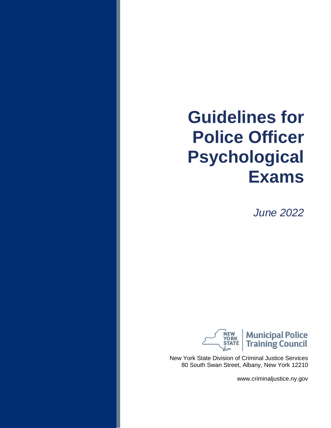*June 2022*



New York State Division of Criminal Justice Services 80 South Swan Street, Albany, New York 12210

www.criminaljustice.ny.gov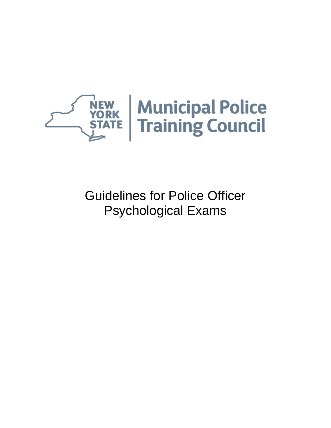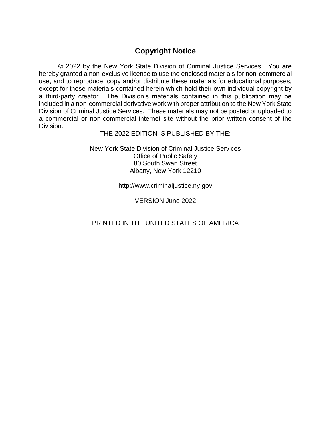# **Copyright Notice**

© 2022 by the New York State Division of Criminal Justice Services. You are hereby granted a non-exclusive license to use the enclosed materials for non-commercial use, and to reproduce, copy and/or distribute these materials for educational purposes, except for those materials contained herein which hold their own individual copyright by a third-party creator. The Division's materials contained in this publication may be included in a non-commercial derivative work with proper attribution to the New York State Division of Criminal Justice Services. These materials may not be posted or uploaded to a commercial or non-commercial internet site without the prior written consent of the Division.

THE 2022 EDITION IS PUBLISHED BY THE:

New York State Division of Criminal Justice Services Office of Public Safety 80 South Swan Street Albany, New York 12210

http://www.criminaljustice.ny.gov

VERSION June 2022

PRINTED IN THE UNITED STATES OF AMERICA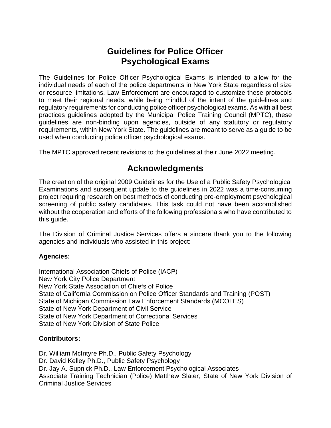The Guidelines for Police Officer Psychological Exams is intended to allow for the individual needs of each of the police departments in New York State regardless of size or resource limitations. Law Enforcement are encouraged to customize these protocols to meet their regional needs, while being mindful of the intent of the guidelines and regulatory requirements for conducting police officer psychological exams. As with all best practices guidelines adopted by the Municipal Police Training Council (MPTC), these guidelines are non-binding upon agencies, outside of any statutory or regulatory requirements, within New York State. The guidelines are meant to serve as a guide to be used when conducting police officer psychological exams.

The MPTC approved recent revisions to the guidelines at their June 2022 meeting.

# **Acknowledgments**

The creation of the original 2009 Guidelines for the Use of a Public Safety Psychological Examinations and subsequent update to the guidelines in 2022 was a time-consuming project requiring research on best methods of conducting pre-employment psychological screening of public safety candidates. This task could not have been accomplished without the cooperation and efforts of the following professionals who have contributed to this guide.

The Division of Criminal Justice Services offers a sincere thank you to the following agencies and individuals who assisted in this project:

# **Agencies:**

International Association Chiefs of Police (IACP) New York City Police Department New York State Association of Chiefs of Police State of California Commission on Police Officer Standards and Training (POST) State of Michigan Commission Law Enforcement Standards (MCOLES) State of New York Department of Civil Service State of New York Department of Correctional Services State of New York Division of State Police

# **Contributors:**

Dr. William McIntyre Ph.D., Public Safety Psychology Dr. David Kelley Ph.D., Public Safety Psychology Dr. Jay A. Supnick Ph.D., Law Enforcement Psychological Associates Associate Training Technician (Police) Matthew Slater, State of New York Division of Criminal Justice Services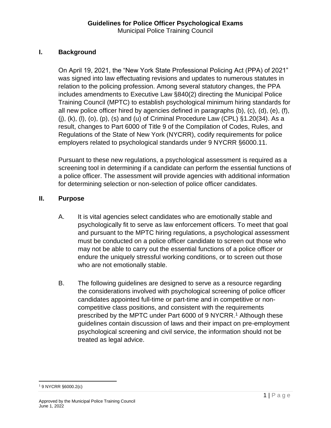# **I. Background**

On April 19, 2021, the "New York State Professional Policing Act (PPA) of 2021" was signed into law effectuating revisions and updates to numerous statutes in relation to the policing profession. Among several statutory changes, the PPA includes amendments to Executive Law §840(2) directing the Municipal Police Training Council (MPTC) to establish psychological minimum hiring standards for all new police officer hired by agencies defined in paragraphs (b), (c), (d), (e), (f), (j), (k), (l), (o), (p), (s) and (u) of Criminal Procedure Law (CPL) §1.20(34). As a result, changes to Part 6000 of Title 9 of the Compilation of Codes, Rules, and Regulations of the State of New York (NYCRR), codify requirements for police employers related to psychological standards under 9 NYCRR §6000.11.

Pursuant to these new regulations, a psychological assessment is required as a screening tool in determining if a candidate can perform the essential functions of a police officer. The assessment will provide agencies with additional information for determining selection or non-selection of police officer candidates.

#### **II. Purpose**

- A. It is vital agencies select candidates who are emotionally stable and psychologically fit to serve as law enforcement officers. To meet that goal and pursuant to the MPTC hiring regulations, a psychological assessment must be conducted on a police officer candidate to screen out those who may not be able to carry out the essential functions of a police officer or endure the uniquely stressful working conditions, or to screen out those who are not emotionally stable.
- B. The following guidelines are designed to serve as a resource regarding the considerations involved with psychological screening of police officer candidates appointed full-time or part-time and in competitive or noncompetitive class positions, and consistent with the requirements prescribed by the MPTC under Part 6000 of 9 NYCRR.<sup>1</sup> Although these guidelines contain discussion of laws and their impact on pre-employment psychological screening and civil service, the information should not be treated as legal advice.

<sup>1</sup> 9 NYCRR §6000.2(c)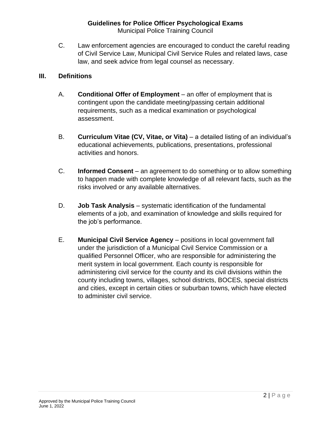C. Law enforcement agencies are encouraged to conduct the careful reading of Civil Service Law, Municipal Civil Service Rules and related laws, case law, and seek advice from legal counsel as necessary.

#### **III. Definitions**

- A. **Conditional Offer of Employment** an offer of employment that is contingent upon the candidate meeting/passing certain additional requirements, such as a medical examination or psychological assessment.
- B. **Curriculum Vitae (CV, Vitae, or Vita)** a detailed listing of an individual's educational achievements, publications, presentations, professional activities and honors.
- C. **Informed Consent** an agreement to do something or to allow something to happen made with complete knowledge of all relevant facts, such as the risks involved or any available alternatives.
- D. **Job Task Analysis** systematic identification of the fundamental elements of a job, and examination of knowledge and skills required for the job's performance.
- E. **Municipal Civil Service Agency** positions in local government fall under the jurisdiction of a Municipal Civil Service Commission or a qualified Personnel Officer, who are responsible for administering the merit system in local government. Each county is responsible for administering civil service for the county and its civil divisions within the county including towns, villages, school districts, BOCES, special districts and cities, except in certain cities or suburban towns, which have elected to administer civil service.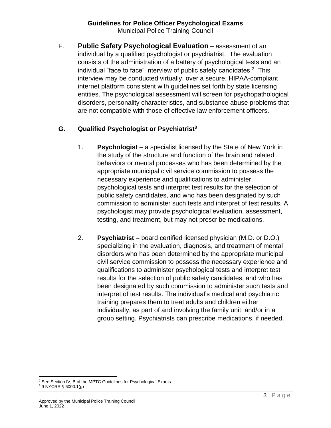#### **Guidelines for Police Officer Psychological Exams** Municipal Police Training Council

F. **Public Safety Psychological Evaluation** – assessment of an individual by a qualified psychologist or psychiatrist. The evaluation consists of the administration of a battery of psychological tests and an individual "face to face" interview of public safety candidates. 2 This interview may be conducted virtually, over a secure, HIPAA-compliant internet platform consistent with guidelines set forth by state licensing entities. The psychological assessment will screen for psychopathological disorders, personality characteristics, and substance abuse problems that are not compatible with those of effective law enforcement officers.

# **G. Qualified Psychologist or Psychiatrist<sup>3</sup>**

- 1. **Psychologist** a specialist licensed by the State of New York in the study of the structure and function of the brain and related behaviors or mental processes who has been determined by the appropriate municipal civil service commission to possess the necessary experience and qualifications to administer psychological tests and interpret test results for the selection of public safety candidates, and who has been designated by such commission to administer such tests and interpret of test results. A psychologist may provide psychological evaluation, assessment, testing, and treatment, but may not prescribe medications.
- 2. **Psychiatrist**  board certified licensed physician (M.D. or D.O.) specializing in the evaluation, diagnosis, and treatment of mental disorders who has been determined by the appropriate municipal civil service commission to possess the necessary experience and qualifications to administer psychological tests and interpret test results for the selection of public safety candidates, and who has been designated by such commission to administer such tests and interpret of test results. The individual's medical and psychiatric training prepares them to treat adults and children either individually, as part of and involving the family unit, and/or in a group setting. Psychiatrists can prescribe medications, if needed.

<sup>&</sup>lt;sup>2</sup> See Section IV, B of the MPTC Guidelines for Psychological Exams

<sup>3</sup> 9 NYCRR § 6000.1(g)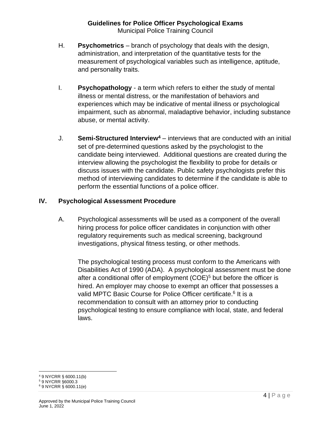- H. **Psychometrics** branch of psychology that deals with the design, administration, and interpretation of the quantitative tests for the measurement of psychological variables such as intelligence, aptitude, and personality traits.
- I. **Psychopathology** a term which refers to either the study of mental illness or mental distress, or the manifestation of behaviors and experiences which may be indicative of mental illness or psychological impairment, such as abnormal, maladaptive behavior, including substance abuse, or mental activity.
- J. **Semi-Structured Interview<sup>4</sup>** interviews that are conducted with an initial set of pre-determined questions asked by the psychologist to the candidate being interviewed. Additional questions are created during the interview allowing the psychologist the flexibility to probe for details or discuss issues with the candidate. Public safety psychologists prefer this method of interviewing candidates to determine if the candidate is able to perform the essential functions of a police officer.

# **IV. Psychological Assessment Procedure**

A. Psychological assessments will be used as a component of the overall hiring process for police officer candidates in conjunction with other regulatory requirements such as medical screening, background investigations, physical fitness testing, or other methods.

The psychological testing process must conform to the Americans with Disabilities Act of 1990 (ADA). A psychological assessment must be done after a conditional offer of employment  $(COE)^5$  but before the officer is hired. An employer may choose to exempt an officer that possesses a valid MPTC Basic Course for Police Officer certificate.<sup>6</sup> It is a recommendation to consult with an attorney prior to conducting psychological testing to ensure compliance with local, state, and federal laws.

<sup>4</sup> 9 NYCRR § 6000.11(b)

<sup>5</sup> 9 NYCRR §6000.3

<sup>6</sup> 9 NYCRR § 6000.11(e)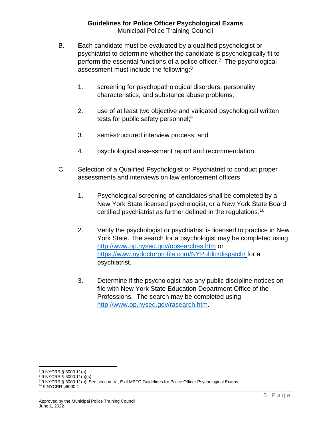- B. Each candidate must be evaluated by a qualified psychologist or psychiatrist to determine whether the candidate is psychologically fit to perform the essential functions of a police officer.<sup>7</sup> The psychological assessment must include the following:<sup>8</sup>
	- 1. screening for psychopathological disorders, personality characteristics, and substance abuse problems;
	- 2. use of at least two objective and validated psychological written tests for public safety personnel;<sup>9</sup>
	- 3. semi-structured interview process; and
	- 4. psychological assessment report and recommendation.
- C. Selection of a Qualified Psychologist or Psychiatrist to conduct proper assessments and interviews on law enforcement officers
	- 1. Psychological screening of candidates shall be completed by a New York State licensed psychologist, or a New York State Board certified psychiatrist as further defined in the regulations.<sup>10</sup>
	- 2. Verify the psychologist or psychiatrist is licensed to practice in New York State. The search for a psychologist may be completed using <http://www.op.nysed.gov/opsearches.htm> or [https://www.nydoctorprofile.com/NYPublic/dispatch/](https://www.abpn.com/) for a psychiatrist.
	- 3. Determine if the psychologist has any public discipline notices on file with New York State Education Department Office of the Professions. The search may be completed using [http://www.op.nysed.gov/rasearch.htm.](http://www.op.nysed.gov/rasearch.htm)

<sup>10</sup> 9 NYCRR §6000.1

<sup>7</sup> 9 NYCRR § 6000.11(a)

<sup>8</sup> 9 NYCRR § 6000.11(b)(c)

<sup>9</sup> 9 NYCRR § 6000.11(b). See section IV., E of MPTC Guidelines for Police Officer Psychological Exams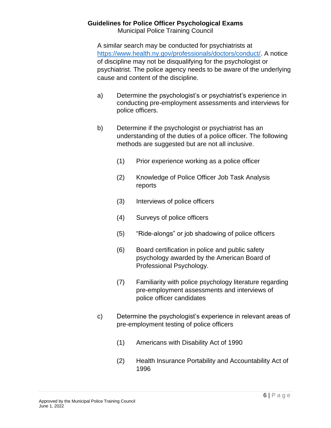Municipal Police Training Council

A similar search may be conducted for psychiatrists at [https://www.health.ny.gov/professionals/doctors/conduct/.](https://www.health.ny.gov/professionals/doctors/conduct/) A notice of discipline may not be disqualifying for the psychologist or psychiatrist. The police agency needs to be aware of the underlying cause and content of the discipline.

- a) Determine the psychologist's or psychiatrist's experience in conducting pre-employment assessments and interviews for police officers.
- b) Determine if the psychologist or psychiatrist has an understanding of the duties of a police officer. The following methods are suggested but are not all inclusive.
	- (1) Prior experience working as a police officer
	- (2) Knowledge of Police Officer Job Task Analysis reports
	- (3) Interviews of police officers
	- (4) Surveys of police officers
	- (5) "Ride-alongs" or job shadowing of police officers
	- (6) Board certification in police and public safety psychology awarded by the American Board of Professional Psychology.
	- (7) Familiarity with police psychology literature regarding pre-employment assessments and interviews of police officer candidates
- c) Determine the psychologist's experience in relevant areas of pre-employment testing of police officers
	- (1) Americans with Disability Act of 1990
	- (2) Health Insurance Portability and Accountability Act of 1996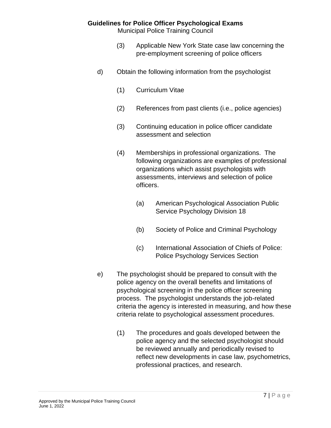Municipal Police Training Council

- (3) Applicable New York State case law concerning the pre-employment screening of police officers
- d) Obtain the following information from the psychologist
	- (1) Curriculum Vitae
	- (2) References from past clients (i.e., police agencies)
	- (3) Continuing education in police officer candidate assessment and selection
	- (4) Memberships in professional organizations. The following organizations are examples of professional organizations which assist psychologists with assessments, interviews and selection of police officers.
		- (a) American Psychological Association Public Service Psychology Division 18
		- (b) Society of Police and Criminal Psychology
		- (c) International Association of Chiefs of Police: Police Psychology Services Section
- e) The psychologist should be prepared to consult with the police agency on the overall benefits and limitations of psychological screening in the police officer screening process. The psychologist understands the job-related criteria the agency is interested in measuring, and how these criteria relate to psychological assessment procedures.
	- (1) The procedures and goals developed between the police agency and the selected psychologist should be reviewed annually and periodically revised to reflect new developments in case law, psychometrics, professional practices, and research.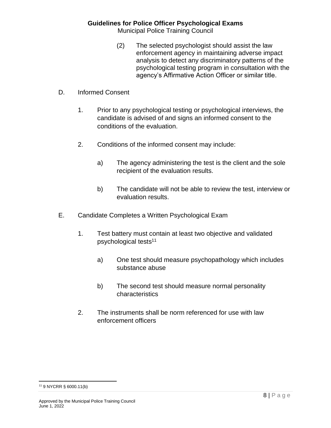Municipal Police Training Council

- (2) The selected psychologist should assist the law enforcement agency in maintaining adverse impact analysis to detect any discriminatory patterns of the psychological testing program in consultation with the agency's Affirmative Action Officer or similar title.
- D. Informed Consent
	- 1. Prior to any psychological testing or psychological interviews, the candidate is advised of and signs an informed consent to the conditions of the evaluation.
	- 2. Conditions of the informed consent may include:
		- a) The agency administering the test is the client and the sole recipient of the evaluation results.
		- b) The candidate will not be able to review the test, interview or evaluation results.
- E. Candidate Completes a Written Psychological Exam
	- 1. Test battery must contain at least two objective and validated psychological tests 11
		- a) One test should measure psychopathology which includes substance abuse
		- b) The second test should measure normal personality characteristics
	- 2. The instruments shall be norm referenced for use with law enforcement officers

<sup>11</sup> 9 NYCRR § 6000.11(b)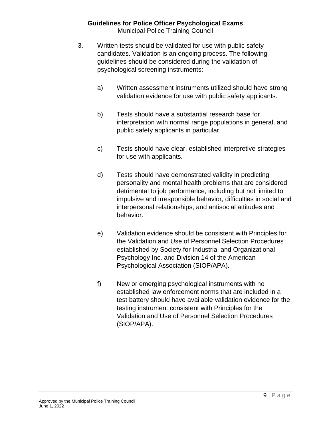#### **Guidelines for Police Officer Psychological Exams** Municipal Police Training Council

- 3. Written tests should be validated for use with public safety candidates. Validation is an ongoing process. The following guidelines should be considered during the validation of psychological screening instruments:
	- a) Written assessment instruments utilized should have strong validation evidence for use with public safety applicants.
	- b) Tests should have a substantial research base for interpretation with normal range populations in general, and public safety applicants in particular.
	- c) Tests should have clear, established interpretive strategies for use with applicants.
	- d) Tests should have demonstrated validity in predicting personality and mental health problems that are considered detrimental to job performance, including but not limited to impulsive and irresponsible behavior, difficulties in social and interpersonal relationships, and antisocial attitudes and behavior.
	- e) Validation evidence should be consistent with Principles for the Validation and Use of Personnel Selection Procedures established by Society for Industrial and Organizational Psychology Inc. and Division 14 of the American Psychological Association (SIOP/APA).
	- f) New or emerging psychological instruments with no established law enforcement norms that are included in a test battery should have available validation evidence for the testing instrument consistent with Principles for the Validation and Use of Personnel Selection Procedures (SIOP/APA).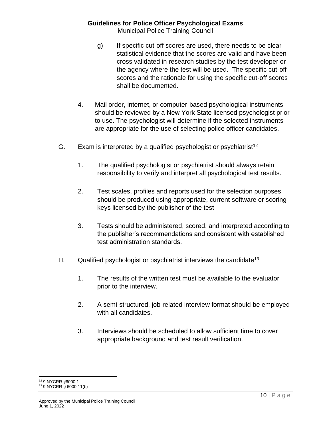Municipal Police Training Council

- g) If specific cut-off scores are used, there needs to be clear statistical evidence that the scores are valid and have been cross validated in research studies by the test developer or the agency where the test will be used. The specific cut-off scores and the rationale for using the specific cut-off scores shall be documented.
- 4. Mail order, internet, or computer-based psychological instruments should be reviewed by a New York State licensed psychologist prior to use. The psychologist will determine if the selected instruments are appropriate for the use of selecting police officer candidates.
- G. Exam is interpreted by a qualified psychologist or psychiatrist<sup>12</sup>
	- 1. The qualified psychologist or psychiatrist should always retain responsibility to verify and interpret all psychological test results.
	- 2. Test scales, profiles and reports used for the selection purposes should be produced using appropriate, current software or scoring keys licensed by the publisher of the test
	- 3. Tests should be administered, scored, and interpreted according to the publisher's recommendations and consistent with established test administration standards.
- H. Qualified psychologist or psychiatrist interviews the candidate<sup>13</sup>
	- 1. The results of the written test must be available to the evaluator prior to the interview.
	- 2. A semi-structured, job-related interview format should be employed with all candidates.
	- 3. Interviews should be scheduled to allow sufficient time to cover appropriate background and test result verification.

<sup>12</sup> 9 NYCRR §6000.1

<sup>13</sup> 9 NYCRR § 6000.11(b)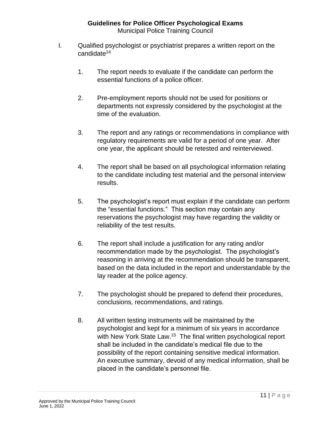- I. Qualified psychologist or psychiatrist prepares a written report on the candidate<sup>14</sup>
	- 1. The report needs to evaluate if the candidate can perform the essential functions of a police officer.
	- 2. Pre-employment reports should not be used for positions or departments not expressly considered by the psychologist at the time of the evaluation.
	- 3. The report and any ratings or recommendations in compliance with regulatory requirements are valid for a period of one year. After one year, the applicant should be retested and reinterviewed.
	- 4. The report shall be based on all psychological information relating to the candidate including test material and the personal interview results.
	- 5. The psychologist's report must explain if the candidate can perform the "essential functions." This section may contain any reservations the psychologist may have regarding the validity or reliability of the test results.
	- 6. The report shall include a justification for any rating and/or recommendation made by the psychologist. The psychologist's reasoning in arriving at the recommendation should be transparent, based on the data included in the report and understandable by the lay reader at the police agency.
	- 7. The psychologist should be prepared to defend their procedures, conclusions, recommendations, and ratings.
	- 8. All written testing instruments will be maintained by the psychologist and kept for a minimum of six years in accordance with New York State Law.<sup>15</sup> The final written psychological report shall be included in the candidate's medical file due to the possibility of the report containing sensitive medical information. An executive summary, devoid of any medical information, shall be placed in the candidate's personnel file.